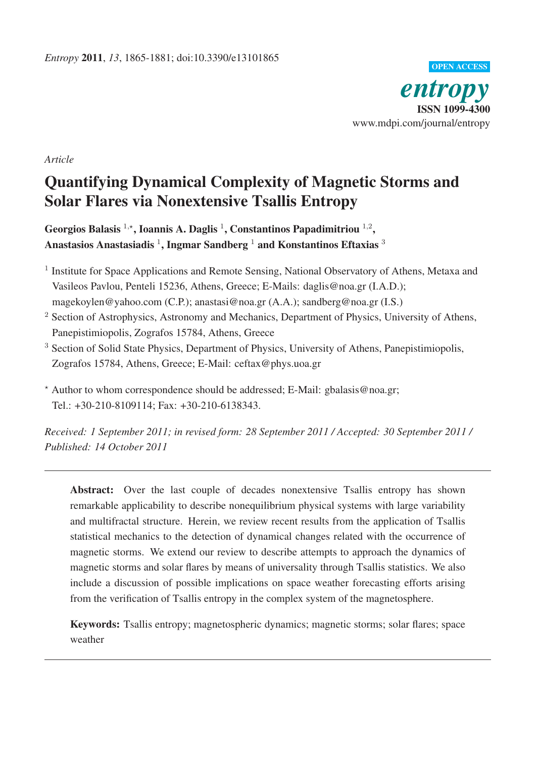

*Article*

# Quantifying Dynamical Complexity of Magnetic Storms and Solar Flares via Nonextensive Tsallis Entropy

Georgios Balasis  $^{1,\star}$ , Ioannis A. Daglis  $^{1}$ , Constantinos Papadimitriou  $^{1,2}$ , Anastasios Anastasiadis<sup>1</sup>, Ingmar Sandberg<sup>1</sup> and Konstantinos Eftaxias<sup>3</sup>

- <sup>1</sup> Institute for Space Applications and Remote Sensing, National Observatory of Athens, Metaxa and Vasileos Pavlou, Penteli 15236, Athens, Greece; E-Mails: daglis@noa.gr (I.A.D.); magekoylen@yahoo.com (C.P.); anastasi@noa.gr (A.A.); sandberg@noa.gr (I.S.)
- <sup>2</sup> Section of Astrophysics, Astronomy and Mechanics, Department of Physics, University of Athens, Panepistimiopolis, Zografos 15784, Athens, Greece
- <sup>3</sup> Section of Solid State Physics, Department of Physics, University of Athens, Panepistimiopolis, Zografos 15784, Athens, Greece; E-Mail: ceftax@phys.uoa.gr

- Author to whom correspondence should be addressed; E-Mail: gbalasis@noa.gr; Tel.: +30-210-8109114; Fax: +30-210-6138343.

*Received: 1 September 2011; in revised form: 28 September 2011 / Accepted: 30 September 2011 / Published: 14 October 2011*

Abstract: Over the last couple of decades nonextensive Tsallis entropy has shown remarkable applicability to describe nonequilibrium physical systems with large variability and multifractal structure. Herein, we review recent results from the application of Tsallis statistical mechanics to the detection of dynamical changes related with the occurrence of magnetic storms. We extend our review to describe attempts to approach the dynamics of magnetic storms and solar flares by means of universality through Tsallis statistics. We also include a discussion of possible implications on space weather forecasting efforts arising from the verification of Tsallis entropy in the complex system of the magnetosphere.

Keywords: Tsallis entropy; magnetospheric dynamics; magnetic storms; solar flares; space weather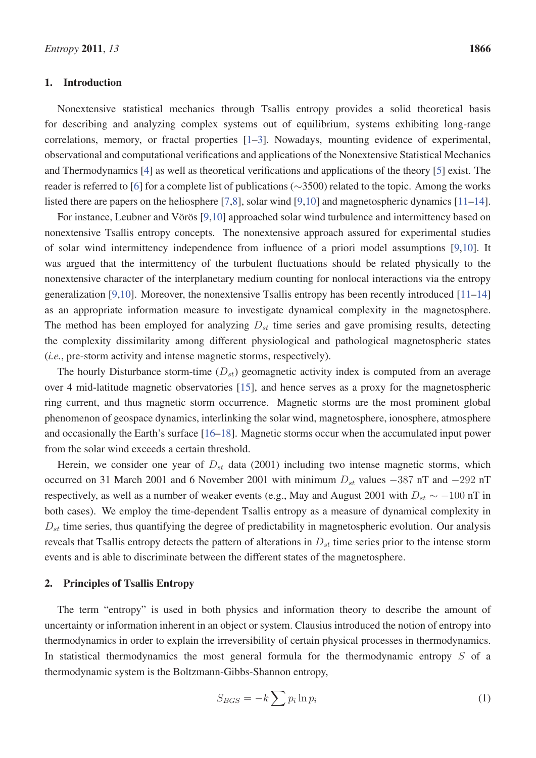## 1. Introduction

Nonextensive statistical mechanics through Tsallis entropy provides a solid theoretical basis for describing and analyzing complex systems out of equilibrium, systems exhibiting long-range correlations, memory, or fractal properties [1–3]. Nowadays, mounting evidence of experimental, observational and computational verifications and applications of the Nonextensive Statistical Mechanics and Thermodynamics [4] as well as theoretical verifications and applications of the theory [5] exist. The reader is referred to [6] for a complete list of publications (∼3500) related to the topic. Among the works listed there are papers on the heliosphere [7,8], solar wind [9,10] and magnetospheric dynamics [11–14].

For instance, Leubner and Vörös [9,10] approached solar wind turbulence and intermittency based on nonextensive Tsallis entropy concepts. The nonextensive approach assured for experimental studies of solar wind intermittency independence from influence of a priori model assumptions [9,10]. It was argued that the intermittency of the turbulent fluctuations should be related physically to the nonextensive character of the interplanetary medium counting for nonlocal interactions via the entropy generalization [9,10]. Moreover, the nonextensive Tsallis entropy has been recently introduced [11–14] as an appropriate information measure to investigate dynamical complexity in the magnetosphere. The method has been employed for analyzing  $D_{st}$  time series and gave promising results, detecting the complexity dissimilarity among different physiological and pathological magnetospheric states (*i.e.*, pre-storm activity and intense magnetic storms, respectively).

The hourly Disturbance storm-time  $(D_{st})$  geomagnetic activity index is computed from an average over 4 mid-latitude magnetic observatories [15], and hence serves as a proxy for the magnetospheric ring current, and thus magnetic storm occurrence. Magnetic storms are the most prominent global phenomenon of geospace dynamics, interlinking the solar wind, magnetosphere, ionosphere, atmosphere and occasionally the Earth's surface [16–18]. Magnetic storms occur when the accumulated input power from the solar wind exceeds a certain threshold.

Herein, we consider one year of  $D_{st}$  data (2001) including two intense magnetic storms, which occurred on 31 March 2001 and 6 November 2001 with minimum  $D_{st}$  values  $-387$  nT and  $-292$  nT respectively, as well as a number of weaker events (e.g., May and August 2001 with  $D_{st} \sim -100$  nT in both cases). We employ the time-dependent Tsallis entropy as a measure of dynamical complexity in  $D_{st}$  time series, thus quantifying the degree of predictability in magnetospheric evolution. Our analysis reveals that Tsallis entropy detects the pattern of alterations in  $D_{st}$  time series prior to the intense storm events and is able to discriminate between the different states of the magnetosphere.

#### 2. Principles of Tsallis Entropy

The term "entropy" is used in both physics and information theory to describe the amount of uncertainty or information inherent in an object or system. Clausius introduced the notion of entropy into thermodynamics in order to explain the irreversibility of certain physical processes in thermodynamics. In statistical thermodynamics the most general formula for the thermodynamic entropy  $S$  of a thermodynamic system is the Boltzmann-Gibbs-Shannon entropy,

$$
S_{BGS} = -k \sum p_i \ln p_i \tag{1}
$$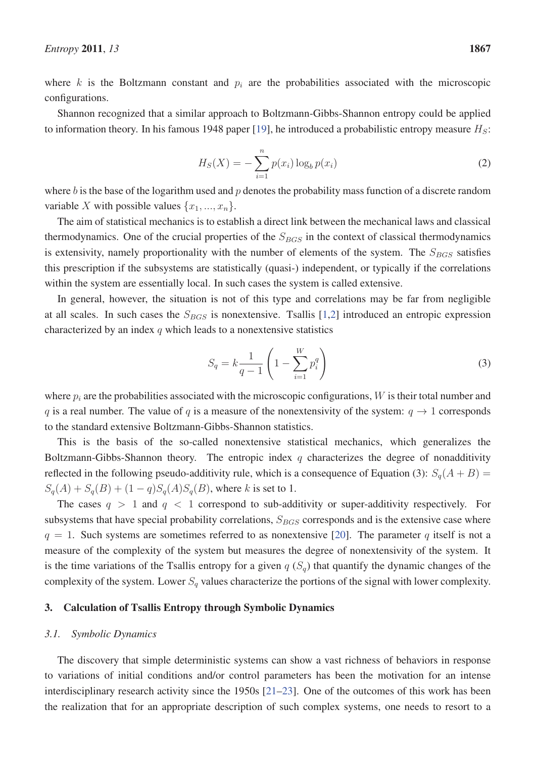where  $k$  is the Boltzmann constant and  $p_i$  are the probabilities associated with the microscopic configurations.

Shannon recognized that a similar approach to Boltzmann-Gibbs-Shannon entropy could be applied to information theory. In his famous 1948 paper [19], he introduced a probabilistic entropy measure  $H<sub>S</sub>$ :

$$
H_S(X) = -\sum_{i=1}^{n} p(x_i) \log_b p(x_i)
$$
 (2)

where b is the base of the logarithm used and  $p$  denotes the probability mass function of a discrete random variable X with possible values  $\{x_1, ..., x_n\}$ .

The aim of statistical mechanics is to establish a direct link between the mechanical laws and classical thermodynamics. One of the crucial properties of the  $S_{BGS}$  in the context of classical thermodynamics is extensivity, namely proportionality with the number of elements of the system. The  $S_{BGS}$  satisfies this prescription if the subsystems are statistically (quasi-) independent, or typically if the correlations within the system are essentially local. In such cases the system is called extensive.

In general, however, the situation is not of this type and correlations may be far from negligible at all scales. In such cases the  $S_{BGS}$  is nonextensive. Tsallis [1,2] introduced an entropic expression characterized by an index  $q$  which leads to a nonextensive statistics

$$
S_q = k \frac{1}{q-1} \left( 1 - \sum_{i=1}^{W} p_i^q \right)
$$
 (3)

where  $p_i$  are the probabilities associated with the microscopic configurations, W is their total number and q is a real number. The value of q is a measure of the nonextensivity of the system:  $q \to 1$  corresponds to the standard extensive Boltzmann-Gibbs-Shannon statistics.

This is the basis of the so-called nonextensive statistical mechanics, which generalizes the Boltzmann-Gibbs-Shannon theory. The entropic index q characterizes the degree of nonadditivity reflected in the following pseudo-additivity rule, which is a consequence of Equation (3):  $S_q(A + B)$  =  $S_q(A) + S_q(B) + (1-q)S_q(A)S_q(B)$ , where k is set to 1.

The cases  $q > 1$  and  $q < 1$  correspond to sub-additivity or super-additivity respectively. For subsystems that have special probability correlations,  $S_{BGS}$  corresponds and is the extensive case where  $q = 1$ . Such systems are sometimes referred to as nonextensive [20]. The parameter q itself is not a measure of the complexity of the system but measures the degree of nonextensivity of the system. It is the time variations of the Tsallis entropy for a given  $q(S_q)$  that quantify the dynamic changes of the complexity of the system. Lower  $S_q$  values characterize the portions of the signal with lower complexity.

## 3. Calculation of Tsallis Entropy through Symbolic Dynamics

#### *3.1. Symbolic Dynamics*

The discovery that simple deterministic systems can show a vast richness of behaviors in response to variations of initial conditions and/or control parameters has been the motivation for an intense interdisciplinary research activity since the 1950s [21–23]. One of the outcomes of this work has been the realization that for an appropriate description of such complex systems, one needs to resort to a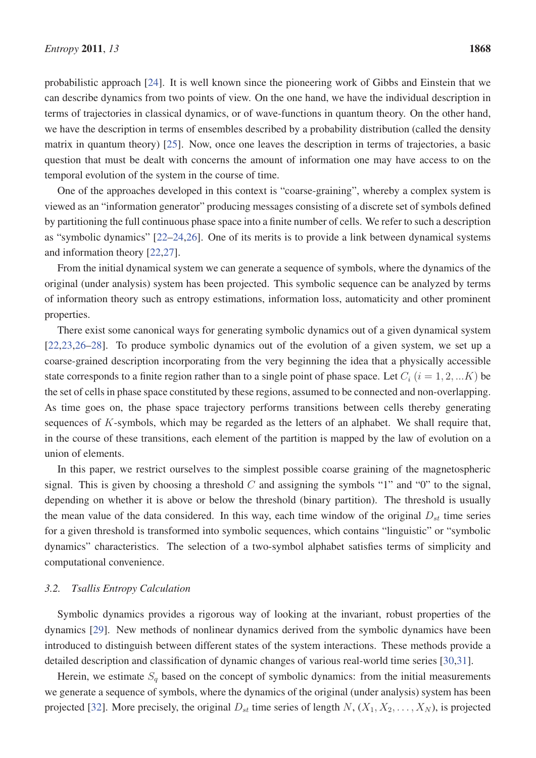probabilistic approach [24]. It is well known since the pioneering work of Gibbs and Einstein that we can describe dynamics from two points of view. On the one hand, we have the individual description in terms of trajectories in classical dynamics, or of wave-functions in quantum theory. On the other hand, we have the description in terms of ensembles described by a probability distribution (called the density matrix in quantum theory) [25]. Now, once one leaves the description in terms of trajectories, a basic question that must be dealt with concerns the amount of information one may have access to on the temporal evolution of the system in the course of time.

One of the approaches developed in this context is "coarse-graining", whereby a complex system is viewed as an "information generator" producing messages consisting of a discrete set of symbols defined by partitioning the full continuous phase space into a finite number of cells. We refer to such a description as "symbolic dynamics" [22–24,26]. One of its merits is to provide a link between dynamical systems and information theory [22,27].

From the initial dynamical system we can generate a sequence of symbols, where the dynamics of the original (under analysis) system has been projected. This symbolic sequence can be analyzed by terms of information theory such as entropy estimations, information loss, automaticity and other prominent properties.

There exist some canonical ways for generating symbolic dynamics out of a given dynamical system [22,23,26–28]. To produce symbolic dynamics out of the evolution of a given system, we set up a coarse-grained description incorporating from the very beginning the idea that a physically accessible state corresponds to a finite region rather than to a single point of phase space. Let  $C_i$  ( $i = 1, 2, ... K$ ) be the set of cells in phase space constituted by these regions, assumed to be connected and non-overlapping. As time goes on, the phase space trajectory performs transitions between cells thereby generating sequences of K-symbols, which may be regarded as the letters of an alphabet. We shall require that, in the course of these transitions, each element of the partition is mapped by the law of evolution on a union of elements.

In this paper, we restrict ourselves to the simplest possible coarse graining of the magnetospheric signal. This is given by choosing a threshold  $C$  and assigning the symbols "1" and "0" to the signal, depending on whether it is above or below the threshold (binary partition). The threshold is usually the mean value of the data considered. In this way, each time window of the original  $D_{st}$  time series for a given threshold is transformed into symbolic sequences, which contains "linguistic" or "symbolic dynamics" characteristics. The selection of a two-symbol alphabet satisfies terms of simplicity and computational convenience.

#### *3.2. Tsallis Entropy Calculation*

Symbolic dynamics provides a rigorous way of looking at the invariant, robust properties of the dynamics [29]. New methods of nonlinear dynamics derived from the symbolic dynamics have been introduced to distinguish between different states of the system interactions. These methods provide a detailed description and classification of dynamic changes of various real-world time series [30,31].

Herein, we estimate  $S_q$  based on the concept of symbolic dynamics: from the initial measurements we generate a sequence of symbols, where the dynamics of the original (under analysis) system has been projected [32]. More precisely, the original  $D_{st}$  time series of length  $N$ ,  $(X_1, X_2, \ldots, X_N)$ , is projected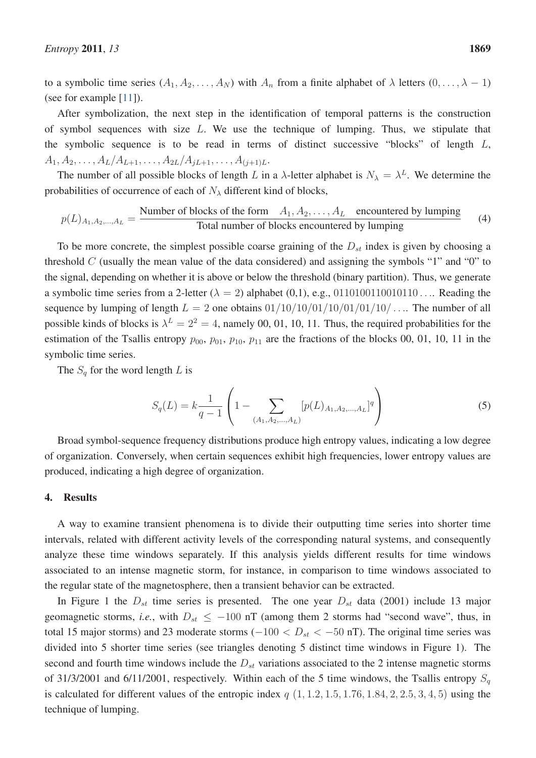to a symbolic time series  $(A_1, A_2, \ldots, A_N)$  with  $A_n$  from a finite alphabet of  $\lambda$  letters  $(0, \ldots, \lambda - 1)$ (see for example [11]).

After symbolization, the next step in the identification of temporal patterns is the construction of symbol sequences with size  $L$ . We use the technique of lumping. Thus, we stipulate that the symbolic sequence is to be read in terms of distinct successive "blocks" of length  $L$ ,  $A_1, A_2, \ldots, A_L/A_{L+1}, \ldots, A_{2L}/A_{jL+1}, \ldots, A_{(j+1)L}.$ 

The number of all possible blocks of length L in a  $\lambda$ -letter alphabet is  $N_{\lambda} = \lambda^{L}$ . We determine the probabilities of occurrence of each of  $N_{\lambda}$  different kind of blocks,

$$
p(L)_{A_1, A_2, \dots, A_L} = \frac{\text{Number of blocks of the form } A_1, A_2, \dots, A_L \quad \text{encountered by lumping}}{\text{Total number of blocks encountered by lumping}} \tag{4}
$$

To be more concrete, the simplest possible coarse graining of the  $D_{st}$  index is given by choosing a threshold  $C$  (usually the mean value of the data considered) and assigning the symbols "1" and "0" to the signal, depending on whether it is above or below the threshold (binary partition). Thus, we generate a symbolic time series from a 2-letter ( $\lambda = 2$ ) alphabet (0,1), e.g., 0110100110010110.... Reading the sequence by lumping of length  $L = 2$  one obtains  $01/10/10/10/10/10/10/10/10/10$ .... The number of all possible kinds of blocks is  $\lambda^L = 2^2 = 4$ , namely 00, 01, 10, 11. Thus, the required probabilities for the estimation of the Tsallis entropy  $p_{00}$ ,  $p_{01}$ ,  $p_{10}$ ,  $p_{11}$  are the fractions of the blocks 00, 01, 10, 11 in the symbolic time series.

The  $S_q$  for the word length L is

$$
S_q(L) = k \frac{1}{q-1} \left( 1 - \sum_{(A_1, A_2, \dots, A_L)} [p(L)_{A_1, A_2, \dots, A_L}]^q \right) \tag{5}
$$

Broad symbol-sequence frequency distributions produce high entropy values, indicating a low degree of organization. Conversely, when certain sequences exhibit high frequencies, lower entropy values are produced, indicating a high degree of organization.

## 4. Results

A way to examine transient phenomena is to divide their outputting time series into shorter time intervals, related with different activity levels of the corresponding natural systems, and consequently analyze these time windows separately. If this analysis yields different results for time windows associated to an intense magnetic storm, for instance, in comparison to time windows associated to the regular state of the magnetosphere, then a transient behavior can be extracted.

In Figure 1 the  $D_{st}$  time series is presented. The one year  $D_{st}$  data (2001) include 13 major geomagnetic storms, *i.e.*, with  $D_{st} \le -100$  nT (among them 2 storms had "second wave", thus, in total 15 major storms) and 23 moderate storms ( $-100 < D_{st} < -50$  nT). The original time series was divided into 5 shorter time series (see triangles denoting 5 distinct time windows in Figure 1). The second and fourth time windows include the  $D_{st}$  variations associated to the 2 intense magnetic storms of 31/3/2001 and 6/11/2001, respectively. Within each of the 5 time windows, the Tsallis entropy  $S_q$ is calculated for different values of the entropic index  $q$   $(1, 1.2, 1.5, 1.76, 1.84, 2, 2.5, 3, 4, 5)$  using the technique of lumping.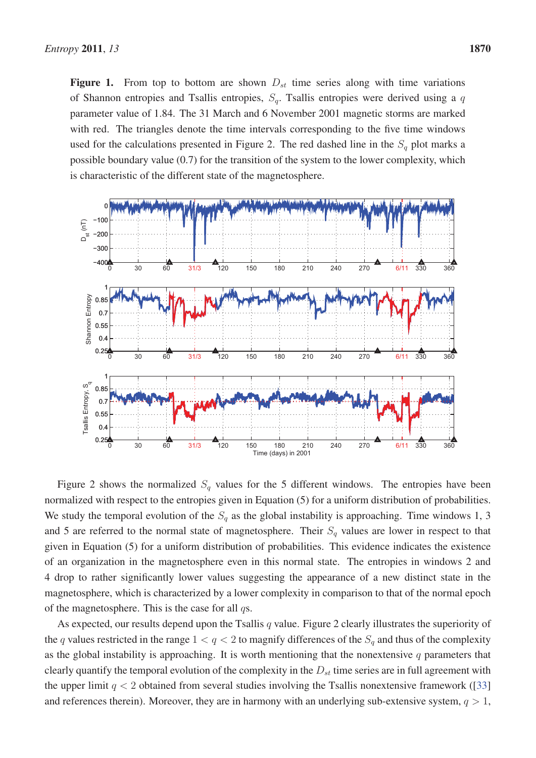Figure 1. From top to bottom are shown  $D_{st}$  time series along with time variations of Shannon entropies and Tsallis entropies,  $S_q$ . Tsallis entropies were derived using a q parameter value of 1.84. The 31 March and 6 November 2001 magnetic storms are marked with red. The triangles denote the time intervals corresponding to the five time windows used for the calculations presented in Figure 2. The red dashed line in the  $S_q$  plot marks a possible boundary value (0.7) for the transition of the system to the lower complexity, which is characteristic of the different state of the magnetosphere.



Figure 2 shows the normalized  $S_q$  values for the 5 different windows. The entropies have been normalized with respect to the entropies given in Equation (5) for a uniform distribution of probabilities. We study the temporal evolution of the  $S_q$  as the global instability is approaching. Time windows 1, 3 and 5 are referred to the normal state of magnetosphere. Their  $S_q$  values are lower in respect to that given in Equation (5) for a uniform distribution of probabilities. This evidence indicates the existence of an organization in the magnetosphere even in this normal state. The entropies in windows 2 and 4 drop to rather significantly lower values suggesting the appearance of a new distinct state in the magnetosphere, which is characterized by a lower complexity in comparison to that of the normal epoch of the magnetosphere. This is the case for all  $qs.$ 

As expected, our results depend upon the Tsallis  $q$  value. Figure 2 clearly illustrates the superiority of the q values restricted in the range  $1 < q < 2$  to magnify differences of the  $S_q$  and thus of the complexity as the global instability is approaching. It is worth mentioning that the nonextensive  $q$  parameters that clearly quantify the temporal evolution of the complexity in the  $D_{st}$  time series are in full agreement with the upper limit  $q < 2$  obtained from several studies involving the Tsallis nonextensive framework ([33] and references therein). Moreover, they are in harmony with an underlying sub-extensive system,  $q > 1$ ,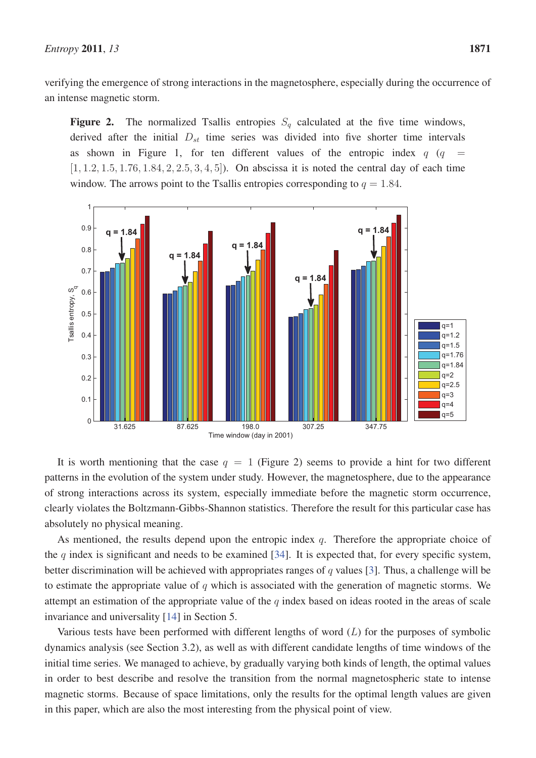verifying the emergence of strong interactions in the magnetosphere, especially during the occurrence of an intense magnetic storm.

**Figure 2.** The normalized Tsallis entropies  $S_q$  calculated at the five time windows, derived after the initial  $D_{st}$  time series was divided into five shorter time intervals as shown in Figure 1, for ten different values of the entropic index  $q$  ( $q =$  $[1, 1.2, 1.5, 1.76, 1.84, 2, 2.5, 3, 4, 5]$ . On abscissa it is noted the central day of each time window. The arrows point to the Tsallis entropies corresponding to  $q = 1.84$ .



It is worth mentioning that the case  $q = 1$  (Figure 2) seems to provide a hint for two different patterns in the evolution of the system under study. However, the magnetosphere, due to the appearance of strong interactions across its system, especially immediate before the magnetic storm occurrence, clearly violates the Boltzmann-Gibbs-Shannon statistics. Therefore the result for this particular case has absolutely no physical meaning.

As mentioned, the results depend upon the entropic index  $q$ . Therefore the appropriate choice of the q index is significant and needs to be examined [34]. It is expected that, for every specific system, better discrimination will be achieved with appropriates ranges of q values [3]. Thus, a challenge will be to estimate the appropriate value of  $q$  which is associated with the generation of magnetic storms. We attempt an estimation of the appropriate value of the  $q$  index based on ideas rooted in the areas of scale invariance and universality [14] in Section 5.

Various tests have been performed with different lengths of word  $(L)$  for the purposes of symbolic dynamics analysis (see Section 3.2), as well as with different candidate lengths of time windows of the initial time series. We managed to achieve, by gradually varying both kinds of length, the optimal values in order to best describe and resolve the transition from the normal magnetospheric state to intense magnetic storms. Because of space limitations, only the results for the optimal length values are given in this paper, which are also the most interesting from the physical point of view.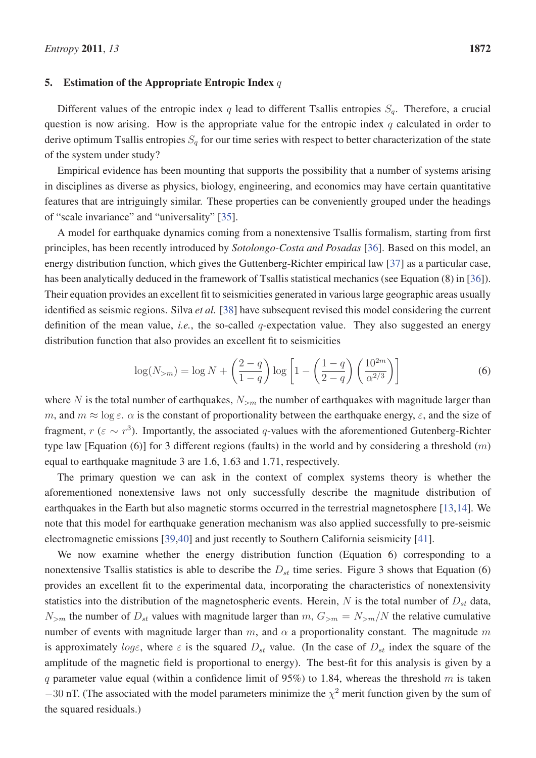#### 5. Estimation of the Appropriate Entropic Index  $q$

Different values of the entropic index q lead to different Tsallis entropies  $S_q$ . Therefore, a crucial question is now arising. How is the appropriate value for the entropic index  $q$  calculated in order to derive optimum Tsallis entropies  $S_q$  for our time series with respect to better characterization of the state of the system under study?

Empirical evidence has been mounting that supports the possibility that a number of systems arising in disciplines as diverse as physics, biology, engineering, and economics may have certain quantitative features that are intriguingly similar. These properties can be conveniently grouped under the headings of "scale invariance" and "universality" [35].

A model for earthquake dynamics coming from a nonextensive Tsallis formalism, starting from first principles, has been recently introduced by *Sotolongo-Costa and Posadas* [36]. Based on this model, an energy distribution function, which gives the Guttenberg-Richter empirical law [37] as a particular case, has been analytically deduced in the framework of Tsallis statistical mechanics (see Equation (8) in [36]). Their equation provides an excellent fit to seismicities generated in various large geographic areas usually identified as seismic regions. Silva *et al.* [38] have subsequent revised this model considering the current definition of the mean value, *i.e.*, the so-called q-expectation value. They also suggested an energy distribution function that also provides an excellent fit to seismicities

$$
\log(N_{>m}) = \log N + \left(\frac{2-q}{1-q}\right) \log \left[1 - \left(\frac{1-q}{2-q}\right) \left(\frac{10^{2m}}{\alpha^{2/3}}\right)\right]
$$
(6)

where N is the total number of earthquakes,  $N_{>m}$  the number of earthquakes with magnitude larger than m, and  $m \approx \log \varepsilon$ .  $\alpha$  is the constant of proportionality between the earthquake energy,  $\varepsilon$ , and the size of fragment,  $r (\varepsilon \sim r^3)$ . Importantly, the associated q-values with the aforementioned Gutenberg-Richter type law [Equation (6)] for 3 different regions (faults) in the world and by considering a threshold  $(m)$ equal to earthquake magnitude 3 are 1.6, 1.63 and 1.71, respectively.

The primary question we can ask in the context of complex systems theory is whether the aforementioned nonextensive laws not only successfully describe the magnitude distribution of earthquakes in the Earth but also magnetic storms occurred in the terrestrial magnetosphere [13,14]. We note that this model for earthquake generation mechanism was also applied successfully to pre-seismic electromagnetic emissions [39,40] and just recently to Southern California seismicity [41].

We now examine whether the energy distribution function (Equation 6) corresponding to a nonextensive Tsallis statistics is able to describe the  $D_{st}$  time series. Figure 3 shows that Equation (6) provides an excellent fit to the experimental data, incorporating the characteristics of nonextensivity statistics into the distribution of the magnetospheric events. Herein,  $N$  is the total number of  $D_{st}$  data,  $N_{>m}$  the number of  $D_{st}$  values with magnitude larger than  $m$ ,  $G_{>m} = N_{>m}/N$  the relative cumulative number of events with magnitude larger than m, and  $\alpha$  a proportionality constant. The magnitude m is approximately loge, where  $\varepsilon$  is the squared  $D_{st}$  value. (In the case of  $D_{st}$  index the square of the amplitude of the magnetic field is proportional to energy). The best-fit for this analysis is given by a q parameter value equal (within a confidence limit of 95%) to 1.84, whereas the threshold m is taken  $-30$  nT. (The associated with the model parameters minimize the  $\chi^2$  merit function given by the sum of the squared residuals.)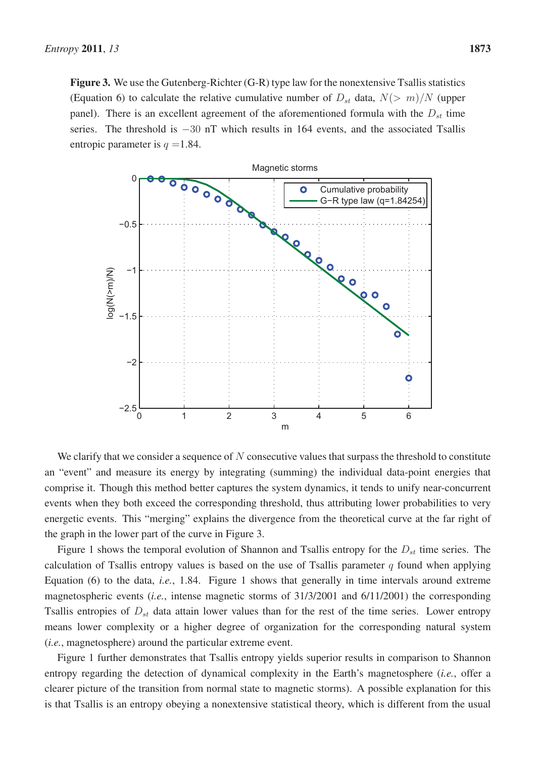Figure 3. We use the Gutenberg-Richter (G-R) type law for the nonextensive Tsallis statistics (Equation 6) to calculate the relative cumulative number of  $D_{st}$  data,  $N(> m)/N$  (upper panel). There is an excellent agreement of the aforementioned formula with the  $D_{st}$  time series. The threshold is −30 nT which results in 164 events, and the associated Tsallis entropic parameter is  $q = 1.84$ .



We clarify that we consider a sequence of  $N$  consecutive values that surpass the threshold to constitute an "event" and measure its energy by integrating (summing) the individual data-point energies that comprise it. Though this method better captures the system dynamics, it tends to unify near-concurrent events when they both exceed the corresponding threshold, thus attributing lower probabilities to very energetic events. This "merging" explains the divergence from the theoretical curve at the far right of the graph in the lower part of the curve in Figure 3.

Figure 1 shows the temporal evolution of Shannon and Tsallis entropy for the  $D_{st}$  time series. The calculation of Tsallis entropy values is based on the use of Tsallis parameter q found when applying Equation (6) to the data, *i.e.*, 1.84. Figure 1 shows that generally in time intervals around extreme magnetospheric events (*i.e.*, intense magnetic storms of 31/3/2001 and 6/11/2001) the corresponding Tsallis entropies of  $D_{st}$  data attain lower values than for the rest of the time series. Lower entropy means lower complexity or a higher degree of organization for the corresponding natural system (*i.e.*, magnetosphere) around the particular extreme event.

Figure 1 further demonstrates that Tsallis entropy yields superior results in comparison to Shannon entropy regarding the detection of dynamical complexity in the Earth's magnetosphere (*i.e.*, offer a clearer picture of the transition from normal state to magnetic storms). A possible explanation for this is that Tsallis is an entropy obeying a nonextensive statistical theory, which is different from the usual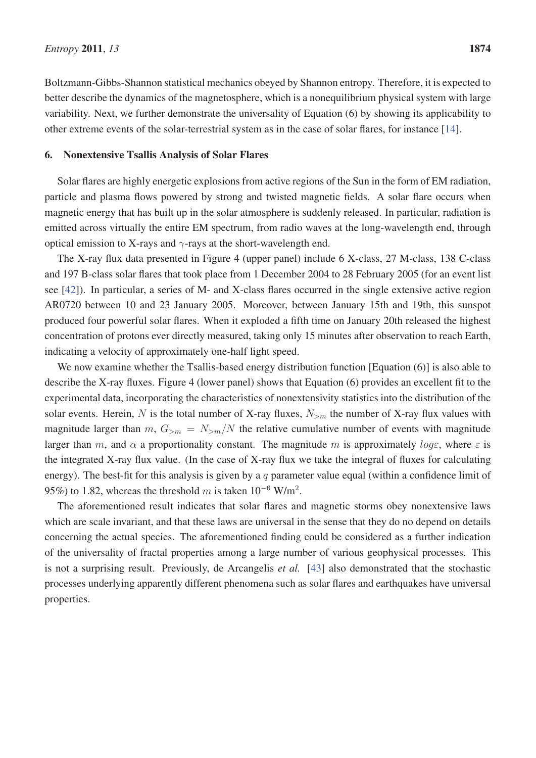Boltzmann-Gibbs-Shannon statistical mechanics obeyed by Shannon entropy. Therefore, it is expected to better describe the dynamics of the magnetosphere, which is a nonequilibrium physical system with large variability. Next, we further demonstrate the universality of Equation (6) by showing its applicability to other extreme events of the solar-terrestrial system as in the case of solar flares, for instance [14].

### 6. Nonextensive Tsallis Analysis of Solar Flares

Solar flares are highly energetic explosions from active regions of the Sun in the form of EM radiation, particle and plasma flows powered by strong and twisted magnetic fields. A solar flare occurs when magnetic energy that has built up in the solar atmosphere is suddenly released. In particular, radiation is emitted across virtually the entire EM spectrum, from radio waves at the long-wavelength end, through optical emission to X-rays and  $\gamma$ -rays at the short-wavelength end.

The X-ray flux data presented in Figure 4 (upper panel) include 6 X-class, 27 M-class, 138 C-class and 197 B-class solar flares that took place from 1 December 2004 to 28 February 2005 (for an event list see [42]). In particular, a series of M- and X-class flares occurred in the single extensive active region AR0720 between 10 and 23 January 2005. Moreover, between January 15th and 19th, this sunspot produced four powerful solar flares. When it exploded a fifth time on January 20th released the highest concentration of protons ever directly measured, taking only 15 minutes after observation to reach Earth, indicating a velocity of approximately one-half light speed.

We now examine whether the Tsallis-based energy distribution function [Equation (6)] is also able to describe the X-ray fluxes. Figure 4 (lower panel) shows that Equation (6) provides an excellent fit to the experimental data, incorporating the characteristics of nonextensivity statistics into the distribution of the solar events. Herein, N is the total number of X-ray fluxes,  $N_{>m}$  the number of X-ray flux values with magnitude larger than  $m$ ,  $G_{>m} = N_{>m}/N$  the relative cumulative number of events with magnitude larger than m, and  $\alpha$  a proportionality constant. The magnitude m is approximately loge, where  $\varepsilon$  is the integrated X-ray flux value. (In the case of X-ray flux we take the integral of fluxes for calculating energy). The best-fit for this analysis is given by a q parameter value equal (within a confidence limit of 95%) to 1.82, whereas the threshold m is taken  $10^{-6}$  W/m<sup>2</sup>.

The aforementioned result indicates that solar flares and magnetic storms obey nonextensive laws which are scale invariant, and that these laws are universal in the sense that they do no depend on details concerning the actual species. The aforementioned finding could be considered as a further indication of the universality of fractal properties among a large number of various geophysical processes. This is not a surprising result. Previously, de Arcangelis *et al.* [43] also demonstrated that the stochastic processes underlying apparently different phenomena such as solar flares and earthquakes have universal properties.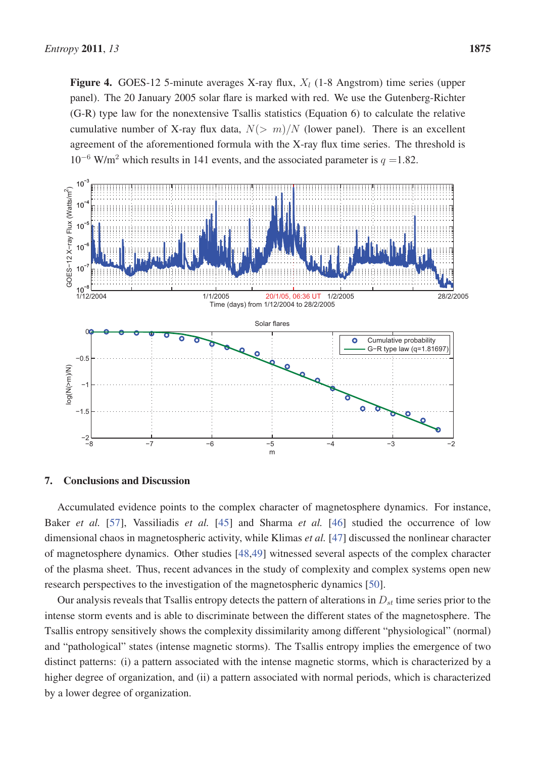Figure 4. GOES-12 5-minute averages X-ray flux,  $X_l$  (1-8 Angstrom) time series (upper panel). The 20 January 2005 solar flare is marked with red. We use the Gutenberg-Richter (G-R) type law for the nonextensive Tsallis statistics (Equation 6) to calculate the relative cumulative number of X-ray flux data,  $N(> m)/N$  (lower panel). There is an excellent agreement of the aforementioned formula with the X-ray flux time series. The threshold is  $10^{-6}$  W/m<sup>2</sup> which results in 141 events, and the associated parameter is  $q = 1.82$ .



#### 7. Conclusions and Discussion

Accumulated evidence points to the complex character of magnetosphere dynamics. For instance, Baker *et al.* [57], Vassiliadis *et al.* [45] and Sharma *et al.* [46] studied the occurrence of low dimensional chaos in magnetospheric activity, while Klimas *et al.* [47] discussed the nonlinear character of magnetosphere dynamics. Other studies [48,49] witnessed several aspects of the complex character of the plasma sheet. Thus, recent advances in the study of complexity and complex systems open new research perspectives to the investigation of the magnetospheric dynamics [50].

Our analysis reveals that Tsallis entropy detects the pattern of alterations in  $D_{st}$  time series prior to the intense storm events and is able to discriminate between the different states of the magnetosphere. The Tsallis entropy sensitively shows the complexity dissimilarity among different "physiological" (normal) and "pathological" states (intense magnetic storms). The Tsallis entropy implies the emergence of two distinct patterns: (i) a pattern associated with the intense magnetic storms, which is characterized by a higher degree of organization, and (ii) a pattern associated with normal periods, which is characterized by a lower degree of organization.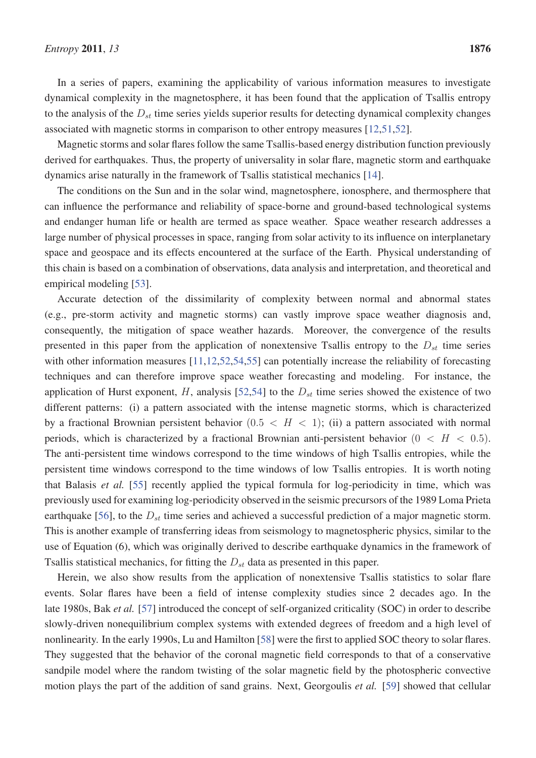In a series of papers, examining the applicability of various information measures to investigate dynamical complexity in the magnetosphere, it has been found that the application of Tsallis entropy to the analysis of the  $D_{st}$  time series yields superior results for detecting dynamical complexity changes associated with magnetic storms in comparison to other entropy measures [12,51,52].

Magnetic storms and solar flares follow the same Tsallis-based energy distribution function previously derived for earthquakes. Thus, the property of universality in solar flare, magnetic storm and earthquake dynamics arise naturally in the framework of Tsallis statistical mechanics [14].

The conditions on the Sun and in the solar wind, magnetosphere, ionosphere, and thermosphere that can influence the performance and reliability of space-borne and ground-based technological systems and endanger human life or health are termed as space weather. Space weather research addresses a large number of physical processes in space, ranging from solar activity to its influence on interplanetary space and geospace and its effects encountered at the surface of the Earth. Physical understanding of this chain is based on a combination of observations, data analysis and interpretation, and theoretical and empirical modeling [53].

Accurate detection of the dissimilarity of complexity between normal and abnormal states (e.g., pre-storm activity and magnetic storms) can vastly improve space weather diagnosis and, consequently, the mitigation of space weather hazards. Moreover, the convergence of the results presented in this paper from the application of nonextensive Tsallis entropy to the  $D_{st}$  time series with other information measures [11,12,52,54,55] can potentially increase the reliability of forecasting techniques and can therefore improve space weather forecasting and modeling. For instance, the application of Hurst exponent, H, analysis [52,54] to the  $D_{st}$  time series showed the existence of two different patterns: (i) a pattern associated with the intense magnetic storms, which is characterized by a fractional Brownian persistent behavior  $(0.5 < H < 1)$ ; (ii) a pattern associated with normal periods, which is characterized by a fractional Brownian anti-persistent behavior  $(0 < H < 0.5)$ . The anti-persistent time windows correspond to the time windows of high Tsallis entropies, while the persistent time windows correspond to the time windows of low Tsallis entropies. It is worth noting that Balasis *et al.* [55] recently applied the typical formula for log-periodicity in time, which was previously used for examining log-periodicity observed in the seismic precursors of the 1989 Loma Prieta earthquake [56], to the  $D_{st}$  time series and achieved a successful prediction of a major magnetic storm. This is another example of transferring ideas from seismology to magnetospheric physics, similar to the use of Equation (6), which was originally derived to describe earthquake dynamics in the framework of Tsallis statistical mechanics, for fitting the  $D_{st}$  data as presented in this paper.

Herein, we also show results from the application of nonextensive Tsallis statistics to solar flare events. Solar flares have been a field of intense complexity studies since 2 decades ago. In the late 1980s, Bak *et al.* [57] introduced the concept of self-organized criticality (SOC) in order to describe slowly-driven nonequilibrium complex systems with extended degrees of freedom and a high level of nonlinearity. In the early 1990s, Lu and Hamilton [58] were the first to applied SOC theory to solar flares. They suggested that the behavior of the coronal magnetic field corresponds to that of a conservative sandpile model where the random twisting of the solar magnetic field by the photospheric convective motion plays the part of the addition of sand grains. Next, Georgoulis *et al.* [59] showed that cellular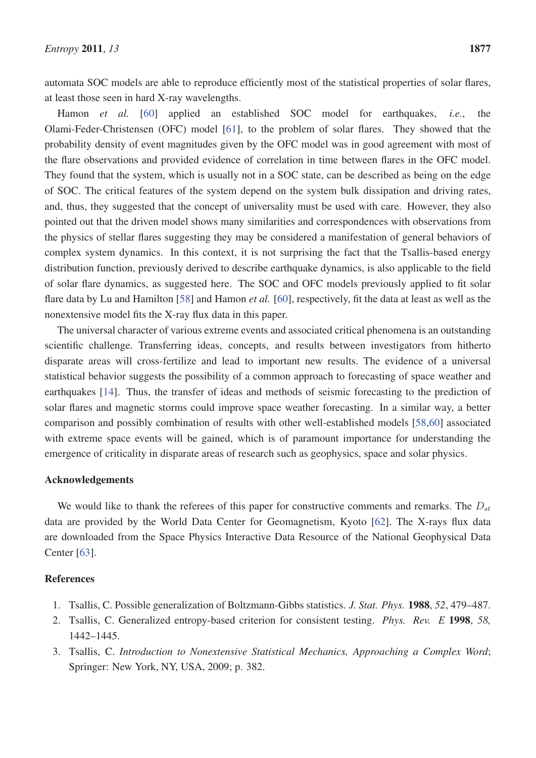automata SOC models are able to reproduce efficiently most of the statistical properties of solar flares, at least those seen in hard X-ray wavelengths.

Hamon *et al.* [60] applied an established SOC model for earthquakes, *i.e.*, the Olami-Feder-Christensen (OFC) model [61], to the problem of solar flares. They showed that the probability density of event magnitudes given by the OFC model was in good agreement with most of the flare observations and provided evidence of correlation in time between flares in the OFC model. They found that the system, which is usually not in a SOC state, can be described as being on the edge of SOC. The critical features of the system depend on the system bulk dissipation and driving rates, and, thus, they suggested that the concept of universality must be used with care. However, they also pointed out that the driven model shows many similarities and correspondences with observations from the physics of stellar flares suggesting they may be considered a manifestation of general behaviors of complex system dynamics. In this context, it is not surprising the fact that the Tsallis-based energy distribution function, previously derived to describe earthquake dynamics, is also applicable to the field of solar flare dynamics, as suggested here. The SOC and OFC models previously applied to fit solar flare data by Lu and Hamilton [58] and Hamon *et al.* [60], respectively, fit the data at least as well as the nonextensive model fits the X-ray flux data in this paper.

The universal character of various extreme events and associated critical phenomena is an outstanding scientific challenge. Transferring ideas, concepts, and results between investigators from hitherto disparate areas will cross-fertilize and lead to important new results. The evidence of a universal statistical behavior suggests the possibility of a common approach to forecasting of space weather and earthquakes [14]. Thus, the transfer of ideas and methods of seismic forecasting to the prediction of solar flares and magnetic storms could improve space weather forecasting. In a similar way, a better comparison and possibly combination of results with other well-established models [58,60] associated with extreme space events will be gained, which is of paramount importance for understanding the emergence of criticality in disparate areas of research such as geophysics, space and solar physics.

## Acknowledgements

We would like to thank the referees of this paper for constructive comments and remarks. The  $D_{st}$ data are provided by the World Data Center for Geomagnetism, Kyoto [62]. The X-rays flux data are downloaded from the Space Physics Interactive Data Resource of the National Geophysical Data Center [63].

## **References**

- 1. Tsallis, C. Possible generalization of Boltzmann-Gibbs statistics. *J. Stat. Phys.* 1988, *52*, 479–487.
- 2. Tsallis, C. Generalized entropy-based criterion for consistent testing. *Phys. Rev. E* 1998, *58,* 1442–1445.
- 3. Tsallis, C. *Introduction to Nonextensive Statistical Mechanics, Approaching a Complex Word*; Springer: New York, NY, USA, 2009; p. 382.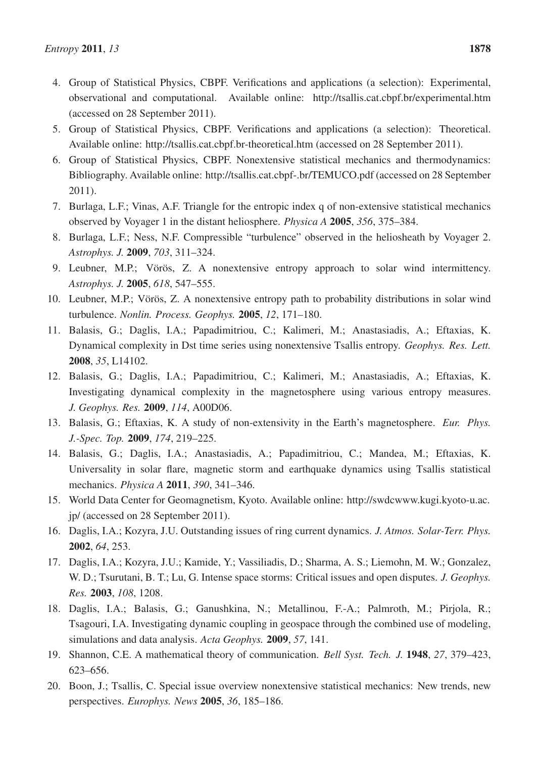- 5. Group of Statistical Physics, CBPF. Verifications and applications (a selection): Theoretical. Available online: http://tsallis.cat.cbpf.br-theoretical.htm (accessed on 28 September 2011).
- 6. Group of Statistical Physics, CBPF. Nonextensive statistical mechanics and thermodynamics: Bibliography. Available online: http://tsallis.cat.cbpf-.br/TEMUCO.pdf (accessed on 28 September 2011).
- 7. Burlaga, L.F.; Vinas, A.F. Triangle for the entropic index q of non-extensive statistical mechanics observed by Voyager 1 in the distant heliosphere. *Physica A* 2005, *356*, 375–384.
- 8. Burlaga, L.F.; Ness, N.F. Compressible "turbulence" observed in the heliosheath by Voyager 2. *Astrophys. J.* 2009, *703*, 311–324.
- 9. Leubner, M.P.; Vörös, Z. A nonextensive entropy approach to solar wind intermittency. *Astrophys. J.* 2005, *618*, 547–555.
- 10. Leubner, M.P.; Vörös, Z. A nonextensive entropy path to probability distributions in solar wind turbulence. *Nonlin. Process. Geophys.* 2005, *12*, 171–180.
- 11. Balasis, G.; Daglis, I.A.; Papadimitriou, C.; Kalimeri, M.; Anastasiadis, A.; Eftaxias, K. Dynamical complexity in Dst time series using nonextensive Tsallis entropy. *Geophys. Res. Lett.* 2008, *35*, L14102.
- 12. Balasis, G.; Daglis, I.A.; Papadimitriou, C.; Kalimeri, M.; Anastasiadis, A.; Eftaxias, K. Investigating dynamical complexity in the magnetosphere using various entropy measures. *J. Geophys. Res.* 2009, *114*, A00D06.
- 13. Balasis, G.; Eftaxias, K. A study of non-extensivity in the Earth's magnetosphere. *Eur. Phys. J.-Spec. Top.* 2009, *174*, 219–225.
- 14. Balasis, G.; Daglis, I.A.; Anastasiadis, A.; Papadimitriou, C.; Mandea, M.; Eftaxias, K. Universality in solar flare, magnetic storm and earthquake dynamics using Tsallis statistical mechanics. *Physica A* 2011, *390*, 341–346.
- 15. World Data Center for Geomagnetism, Kyoto. Available online: http://swdcwww.kugi.kyoto-u.ac. jp/ (accessed on 28 September 2011).
- 16. Daglis, I.A.; Kozyra, J.U. Outstanding issues of ring current dynamics. *J. Atmos. Solar-Terr. Phys.* 2002, *64*, 253.
- 17. Daglis, I.A.; Kozyra, J.U.; Kamide, Y.; Vassiliadis, D.; Sharma, A. S.; Liemohn, M. W.; Gonzalez, W. D.; Tsurutani, B. T.; Lu, G. Intense space storms: Critical issues and open disputes. *J. Geophys. Res.* 2003, *108*, 1208.
- 18. Daglis, I.A.; Balasis, G.; Ganushkina, N.; Metallinou, F.-A.; Palmroth, M.; Pirjola, R.; Tsagouri, I.A. Investigating dynamic coupling in geospace through the combined use of modeling, simulations and data analysis. *Acta Geophys.* 2009, *57*, 141.
- 19. Shannon, C.E. A mathematical theory of communication. *Bell Syst. Tech. J.* 1948, *27*, 379–423, 623–656.
- 20. Boon, J.; Tsallis, C. Special issue overview nonextensive statistical mechanics: New trends, new perspectives. *Europhys. News* 2005, *36*, 185–186.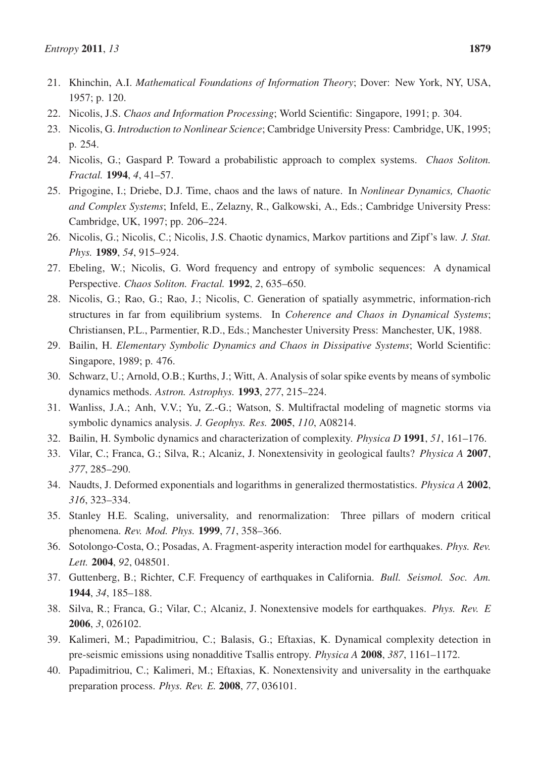- 22. Nicolis, J.S. *Chaos and Information Processing*; World Scientific: Singapore, 1991; p. 304.
- 23. Nicolis, G. *Introduction to Nonlinear Science*; Cambridge University Press: Cambridge, UK, 1995; p. 254.
- 24. Nicolis, G.; Gaspard P. Toward a probabilistic approach to complex systems. *Chaos Soliton. Fractal.* 1994, *4*, 41–57.
- 25. Prigogine, I.; Driebe, D.J. Time, chaos and the laws of nature. In *Nonlinear Dynamics, Chaotic and Complex Systems*; Infeld, E., Zelazny, R., Galkowski, A., Eds.; Cambridge University Press: Cambridge, UK, 1997; pp. 206–224.
- 26. Nicolis, G.; Nicolis, C.; Nicolis, J.S. Chaotic dynamics, Markov partitions and Zipf's law. *J. Stat. Phys.* 1989, *54*, 915–924.
- 27. Ebeling, W.; Nicolis, G. Word frequency and entropy of symbolic sequences: A dynamical Perspective. *Chaos Soliton. Fractal.* 1992, *2*, 635–650.
- 28. Nicolis, G.; Rao, G.; Rao, J.; Nicolis, C. Generation of spatially asymmetric, information-rich structures in far from equilibrium systems. In *Coherence and Chaos in Dynamical Systems*; Christiansen, P.L., Parmentier, R.D., Eds.; Manchester University Press: Manchester, UK, 1988.
- 29. Bailin, H. *Elementary Symbolic Dynamics and Chaos in Dissipative Systems*; World Scientific: Singapore, 1989; p. 476.
- 30. Schwarz, U.; Arnold, O.B.; Kurths, J.; Witt, A. Analysis of solar spike events by means of symbolic dynamics methods. *Astron. Astrophys.* 1993, *277*, 215–224.
- 31. Wanliss, J.A.; Anh, V.V.; Yu, Z.-G.; Watson, S. Multifractal modeling of magnetic storms via symbolic dynamics analysis. *J. Geophys. Res.* 2005, *110*, A08214.
- 32. Bailin, H. Symbolic dynamics and characterization of complexity. *Physica D* 1991, *51*, 161–176.
- 33. Vilar, C.; Franca, G.; Silva, R.; Alcaniz, J. Nonextensivity in geological faults? *Physica A* 2007, *377*, 285–290.
- 34. Naudts, J. Deformed exponentials and logarithms in generalized thermostatistics. *Physica A* 2002, *316*, 323–334.
- 35. Stanley H.E. Scaling, universality, and renormalization: Three pillars of modern critical phenomena. *Rev. Mod. Phys.* 1999, *71*, 358–366.
- 36. Sotolongo-Costa, O.; Posadas, A. Fragment-asperity interaction model for earthquakes. *Phys. Rev. Lett.* 2004, *92*, 048501.
- 37. Guttenberg, B.; Richter, C.F. Frequency of earthquakes in California. *Bull. Seismol. Soc. Am.* 1944, *34*, 185–188.
- 38. Silva, R.; Franca, G.; Vilar, C.; Alcaniz, J. Nonextensive models for earthquakes. *Phys. Rev. E* 2006, *3*, 026102.
- 39. Kalimeri, M.; Papadimitriou, C.; Balasis, G.; Eftaxias, K. Dynamical complexity detection in pre-seismic emissions using nonadditive Tsallis entropy. *Physica A* 2008, *387*, 1161–1172.
- 40. Papadimitriou, C.; Kalimeri, M.; Eftaxias, K. Nonextensivity and universality in the earthquake preparation process. *Phys. Rev. E.* 2008, *77*, 036101.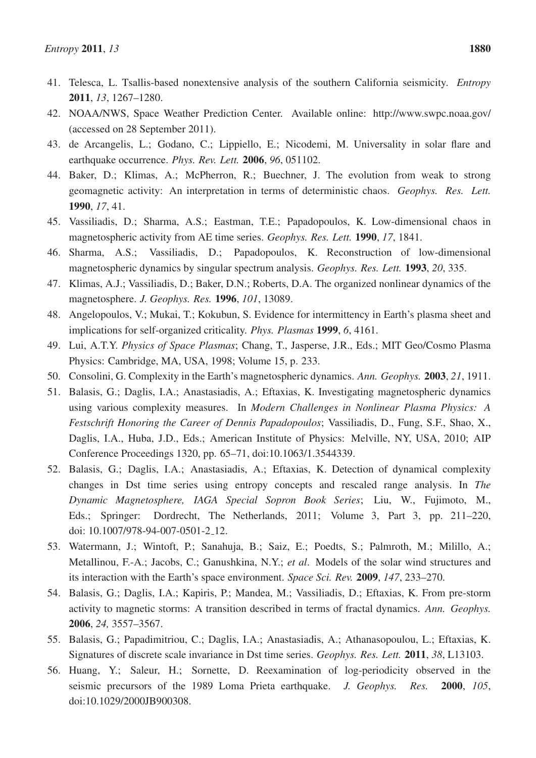- 41. Telesca, L. Tsallis-based nonextensive analysis of the southern California seismicity. *Entropy* 2011, *13*, 1267–1280.
- 42. NOAA/NWS, Space Weather Prediction Center. Available online: http://www.swpc.noaa.gov/ (accessed on 28 September 2011).
- 43. de Arcangelis, L.; Godano, C.; Lippiello, E.; Nicodemi, M. Universality in solar flare and earthquake occurrence. *Phys. Rev. Lett.* 2006, *96*, 051102.
- 44. Baker, D.; Klimas, A.; McPherron, R.; Buechner, J. The evolution from weak to strong geomagnetic activity: An interpretation in terms of deterministic chaos. *Geophys. Res. Lett.* 1990, *17*, 41.
- 45. Vassiliadis, D.; Sharma, A.S.; Eastman, T.E.; Papadopoulos, K. Low-dimensional chaos in magnetospheric activity from AE time series. *Geophys. Res. Lett.* 1990, *17*, 1841.
- 46. Sharma, A.S.; Vassiliadis, D.; Papadopoulos, K. Reconstruction of low-dimensional magnetospheric dynamics by singular spectrum analysis. *Geophys. Res. Lett.* 1993, *20*, 335.
- 47. Klimas, A.J.; Vassiliadis, D.; Baker, D.N.; Roberts, D.A. The organized nonlinear dynamics of the magnetosphere. *J. Geophys. Res.* 1996, *101*, 13089.
- 48. Angelopoulos, V.; Mukai, T.; Kokubun, S. Evidence for intermittency in Earth's plasma sheet and implications for self-organized criticality. *Phys. Plasmas* 1999, *6*, 4161.
- 49. Lui, A.T.Y. *Physics of Space Plasmas*; Chang, T., Jasperse, J.R., Eds.; MIT Geo/Cosmo Plasma Physics: Cambridge, MA, USA, 1998; Volume 15, p. 233.
- 50. Consolini, G. Complexity in the Earth's magnetospheric dynamics. *Ann. Geophys.* 2003, *21*, 1911.
- 51. Balasis, G.; Daglis, I.A.; Anastasiadis, A.; Eftaxias, K. Investigating magnetospheric dynamics using various complexity measures. In *Modern Challenges in Nonlinear Plasma Physics: A Festschrift Honoring the Career of Dennis Papadopoulos*; Vassiliadis, D., Fung, S.F., Shao, X., Daglis, I.A., Huba, J.D., Eds.; American Institute of Physics: Melville, NY, USA, 2010; AIP Conference Proceedings 1320, pp. 65–71, doi:10.1063/1.3544339.
- 52. Balasis, G.; Daglis, I.A.; Anastasiadis, A.; Eftaxias, K. Detection of dynamical complexity changes in Dst time series using entropy concepts and rescaled range analysis. In *The Dynamic Magnetosphere, IAGA Special Sopron Book Series*; Liu, W., Fujimoto, M., Eds.; Springer: Dordrecht, The Netherlands, 2011; Volume 3, Part 3, pp. 211–220, doi: 10.1007/978-94-007-0501-2 12.
- 53. Watermann, J.; Wintoft, P.; Sanahuja, B.; Saiz, E.; Poedts, S.; Palmroth, M.; Milillo, A.; Metallinou, F.-A.; Jacobs, C.; Ganushkina, N.Y.; *et al*. Models of the solar wind structures and its interaction with the Earth's space environment. *Space Sci. Rev.* 2009, *147*, 233–270.
- 54. Balasis, G.; Daglis, I.A.; Kapiris, P.; Mandea, M.; Vassiliadis, D.; Eftaxias, K. From pre-storm activity to magnetic storms: A transition described in terms of fractal dynamics. *Ann. Geophys.* 2006, *24,* 3557–3567.
- 55. Balasis, G.; Papadimitriou, C.; Daglis, I.A.; Anastasiadis, A.; Athanasopoulou, L.; Eftaxias, K. Signatures of discrete scale invariance in Dst time series. *Geophys. Res. Lett.* 2011, *38*, L13103.
- 56. Huang, Y.; Saleur, H.; Sornette, D. Reexamination of log-periodicity observed in the seismic precursors of the 1989 Loma Prieta earthquake. *J. Geophys. Res.* 2000, *105*, doi:10.1029/2000JB900308.